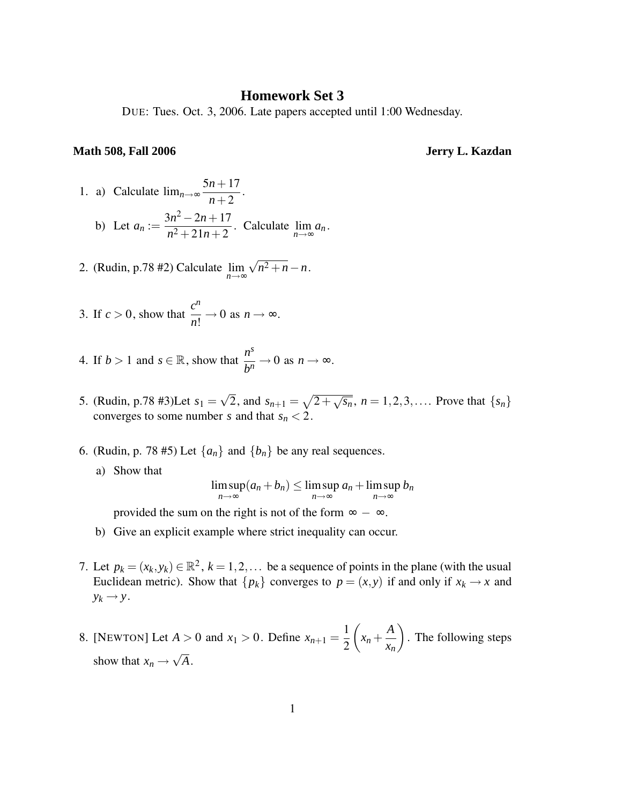## **Homework Set 3**

DUE: Tues. Oct. 3, 2006. Late papers accepted until 1:00 Wednesday.

## **Math 508, Fall 2006 Jerry L. Kazdan**

- 1. a) Calculate  $\lim_{n\to\infty}$ 5*n*+17 *n*+2 .
	- b) Let  $a_n :=$  $3n^2 - 2n + 17$  $\frac{2n+2}{n^2+21n+2}$ . Calculate  $\lim_{n\to\infty}$ *n*→∞ *a<sup>n</sup>* .
- 2. (Rudin, p.78 #2) Calculate lim *n*→∞  $\sqrt{n^2 + n} - n$ .
- 3. If  $c > 0$ , show that  $\frac{c^n}{\cdot}$  $\frac{\varepsilon}{n!} \to 0$  as  $n \to \infty$ .
- 4. If *b* > 1 and *s*  $\in \mathbb{R}$ , show that  $\frac{n^s}{b^n}$  $\frac{n}{b^n} \to 0$  as  $n \to \infty$ .
- 5. (Rudin, p.78 #3)Let  $s_1 = \sqrt{2}$ , and  $s_{n+1} = \sqrt{2 + \sqrt{s_n}}$ ,  $n = 1, 2, 3, \dots$  Prove that  $\{s_n\}$ converges to some number *s* and that  $s_n < 2$ .
- 6. (Rudin, p. 78 #5) Let  $\{a_n\}$  and  $\{b_n\}$  be any real sequences.
	- a) Show that

$$
\limsup_{n\to\infty}(a_n+b_n)\leq \limsup_{n\to\infty}a_n+\limsup_{n\to\infty}b_n
$$

provided the sum on the right is not of the form  $\infty - \infty$ .

- b) Give an explicit example where strict inequality can occur.
- 7. Let  $p_k = (x_k, y_k) \in \mathbb{R}^2$ ,  $k = 1, 2, \dots$  be a sequence of points in the plane (with the usual Euclidean metric). Show that  $\{p_k\}$  converges to  $p = (x, y)$  if and only if  $x_k \to x$  and  $y_k \rightarrow y$ .
- 8. [NEWTON] Let  $A > 0$  and  $x_1 > 0$ . Define  $x_{n+1} =$ 1 2  $(x_n +$ *A xn* . The following steps show that  $x_n \to \sqrt{A}$ .